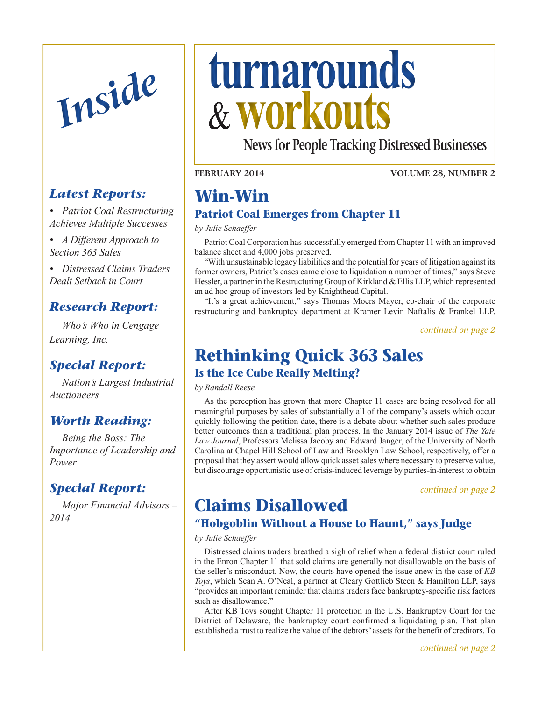

### *Latest Reports:*

*• Patriot Coal Restructuring Achieves Multiple Successes* 

*• A Different Approach to Section 363 Sales*

*• Distressed Claims Traders Dealt Setback in Court*

#### *Research Report:*

 *Who's Who in Cengage Learning, Inc.*

### *Special Report:*

 *Nation's Largest Industrial Auctioneers*

#### *[Worth Reading:](#page-5-0)*

 *[Being](#page-5-0) the Boss: The [Importance](#page-5-0) of Leadership and [Power](#page-5-0)*

#### *[Special Report:](#page-6-0)*

 *Major [Financial](#page-6-0) Advisors – [2014](#page-6-0)*

# <span id="page-0-0"></span>*Inside* **turnarounds workouts**

**News for People Tracking Distressed Businesses**

**February 2014**

**Volume 28, Number 2**

# **Win-Win**

#### **Patriot Coal Emerges from Chapter 11**

*by Julie Schaeffer*

Patriot Coal Corporation has successfully emerged from Chapter 11 with an improved balance sheet and 4,000 jobs preserved.

"With unsustainable legacy liabilities and the potential for years of litigation against its former owners, Patriot's cases came close to liquidation a number of times," says Steve Hessler, a partner in the Restructuring Group of Kirkland & Ellis LLP, which represented an ad hoc group of investors led by Knighthead Capital.

"It's a great achievement," says Thomas Moers Mayer, co-chair of the corporate restructuring and bankruptcy department at Kramer Levin Naftalis & Frankel LLP,

*continued on page 2*

## **Rethinking Quick 363 Sales**

#### **Is the Ice Cube Really Melting?**

*by Randall Reese*

As the perception has grown that more Chapter 11 cases are being resolved for all meaningful purposes by sales of substantially all of the company's assets which occur quickly following the petition date, there is a debate about whether such sales produce better outcomes than a traditional plan process. In the January 2014 issue of *The Yale Law Journal*, Professors Melissa Jacoby and Edward Janger, of the University of North Carolina at Chapel Hill School of Law and Brooklyn Law School, respectively, offer a proposal that they assert would allow quick asset sales where necessary to preserve value, but discourage opportunistic use of crisis-induced leverage by parties-in-interest to obtain

*[continued on page 2](#page-1-0)*

## **Claims Disallowed**

#### **"Hobgoblin Without a House to Haunt," says Judge**

#### *by Julie Schaeffer*

Distressed claims traders breathed a sigh of relief when a federal district court ruled in the Enron Chapter 11 that sold claims are generally not disallowable on the basis of the seller's misconduct. Now, the courts have opened the issue anew in the case of *KB Toys*, which Sean A. O'Neal, a partner at Cleary Gottlieb Steen & Hamilton LLP, says "provides an important reminder that claims traders face bankruptcy-specific risk factors such as disallowance."

After KB Toys sought Chapter 11 protection in the U.S. Bankruptcy Court for the District of Delaware, the bankruptcy court confirmed a liquidating plan. That plan established a trust to realize the value of the debtors' assets for the benefit of creditors. To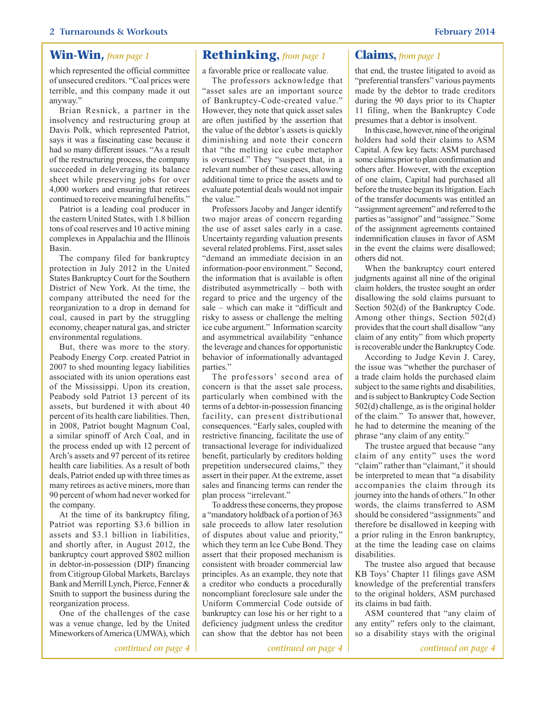which represented the official committee of unsecured creditors. "Coal prices were terrible, and this company made it out anyway."

Brian Resnick, a partner in the insolvency and restructuring group at Davis Polk, which represented Patriot, says it was a fascinating case because it had so many different issues. "As a result of the restructuring process, the company succeeded in deleveraging its balance sheet while preserving jobs for over 4,000 workers and ensuring that retirees continued to receive meaningful benefits."

Patriot is a leading coal producer in the eastern United States, with 1.8 billion tons of coal reserves and 10 active mining complexes in Appalachia and the Illinois Basin.

The company filed for bankruptcy protection in July 2012 in the United States Bankruptcy Court for the Southern District of New York. At the time, the company attributed the need for the reorganization to a drop in demand for coal, caused in part by the struggling economy, cheaper natural gas, and stricter environmental regulations.

But, there was more to the story. Peabody Energy Corp. created Patriot in 2007 to shed mounting legacy liabilities associated with its union operations east of the Mississippi. Upon its creation, Peabody sold Patriot 13 percent of its assets, but burdened it with about 40 percent of its health care liabilities. Then, in 2008, Patriot bought Magnum Coal, a similar spinoff of Arch Coal, and in the process ended up with 12 percent of Arch's assets and 97 percent of its retiree health care liabilities. As a result of both deals, Patriot ended up with three times as many retirees as active miners, more than 90 percent of whom had never worked for the company.

At the time of its bankruptcy filing, Patriot was reporting \$3.6 billion in assets and \$3.1 billion in liabilities, and shortly after, in August 2012, the bankruptcy court approved \$802 million in debtor-in-possession (DIP) financing from Citigroup Global Markets, Barclays Bank and Merrill Lynch, Pierce, Fenner & Smith to support the business during the reorganization process.

One of the challenges of the case was a venue change, led by the United Mineworkers of America (UMWA), which

#### **Win-Win,** *from page 1* **Rethinking,** *from page 1* **Claims,** *from page 1*

<span id="page-1-0"></span>a favorable price or reallocate value.

The professors acknowledge that "asset sales are an important source of Bankruptcy-Code-created value." However, they note that quick asset sales are often justified by the assertion that the value of the debtor's assets is quickly diminishing and note their concern that "the melting ice cube metaphor is overused." They "suspect that, in a relevant number of these cases, allowing additional time to price the assets and to evaluate potential deals would not impair the value."

Professors Jacoby and Janger identify two major areas of concern regarding the use of asset sales early in a case. Uncertainty regarding valuation presents several related problems. First, asset sales "demand an immediate decision in an information-poor environment." Second, the information that is available is often distributed asymmetrically – both with regard to price and the urgency of the sale – which can make it "difficult and risky to assess or challenge the melting ice cube argument." Information scarcity and asymmetrical availability "enhance the leverage and chances for opportunistic behavior of informationally advantaged parties."

The professors' second area of concern is that the asset sale process, particularly when combined with the terms of a debtor-in-possession financing facility, can present distributional consequences. "Early sales, coupled with restrictive financing, facilitate the use of transactional leverage for individualized benefit, particularly by creditors holding prepetition undersecured claims," they assert in their paper. At the extreme, asset sales and financing terms can render the plan process "irrelevant."

To address these concerns, they propose a "mandatory holdback of a portion of 363 sale proceeds to allow later resolution of disputes about value and priority," which they term an Ice Cube Bond. They assert that their proposed mechanism is consistent with broader commercial law principles. As an example, they note that a creditor who conducts a procedurally noncompliant foreclosure sale under the Uniform Commercial Code outside of bankruptcy can lose his or her right to a deficiency judgment unless the creditor can show that the debtor has not been

<span id="page-1-1"></span>that end, the trustee litigated to avoid as "preferential transfers" various payments made by the debtor to trade creditors during the 90 days prior to its Chapter 11 filing, when the Bankruptcy Code presumes that a debtor is insolvent.

In this case, however, nine of the original holders had sold their claims to ASM Capital. A few key facts: ASM purchased some claims prior to plan confirmation and others after. However, with the exception of one claim, Capital had purchased all before the trustee began its litigation. Each of the transfer documents was entitled an "assignment agreement" and referred to the parties as "assignor" and "assignee." Some of the assignment agreements contained indemnification clauses in favor of ASM in the event the claims were disallowed; others did not.

When the bankruptcy court entered judgments against all nine of the original claim holders, the trustee sought an order disallowing the sold claims pursuant to Section 502(d) of the Bankruptcy Code. Among other things, Section 502(d) provides that the court shall disallow "any claim of any entity" from which property is recoverable under the Bankruptcy Code.

According to Judge Kevin J. Carey, the issue was "whether the purchaser of a trade claim holds the purchased claim subject to the same rights and disabilities, and is subject to Bankruptcy Code Section 502(d) challenge, as is the original holder of the claim." To answer that, however, he had to determine the meaning of the phrase "any claim of any entity."

The trustee argued that because "any claim of any entity" uses the word "claim" rather than "claimant," it should be interpreted to mean that "a disability accompanies the claim through its journey into the hands of others." In other words, the claims transferred to ASM should be considered "assignments" and therefore be disallowed in keeping with a prior ruling in the Enron bankruptcy, at the time the leading case on claims disabilities.

The trustee also argued that because KB Toys' Chapter 11 filings gave ASM knowledge of the preferential transfers to the original holders, ASM purchased its claims in bad faith.

ASM countered that "any claim of any entity" refers only to the claimant, so a disability stays with the original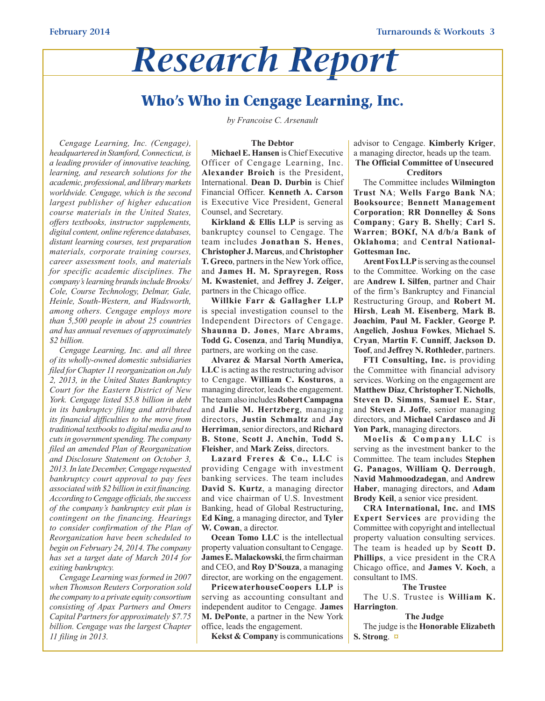# *Research Report*

### **Who's Who in Cengage Learning, Inc.**

*by Francoise C. Arsenault*

#### **The Debtor**

*Cengage Learning, Inc. (Cengage), headquartered in Stamford,Connecticut, is a leading provider of innovative teaching, learning, and research solutions for the academic, professional, and librarymarkets worldwide. Cengage, which is the second largest publisher of higher education course materials in the United States, offers textbooks, instructor supplements, digital content, online reference databases, distant learning courses, test preparation materials, corporate training courses, career assessment tools, and materials for specific academic disciplines. The company'slearning brandsincludeBrooks/ Cole, Course Technology, Delmar, Gale, Heinle, South-Western, and Wadsworth, among others. Cengage employs more than 5,500 people in about 25 countries and has annual revenues of approximately \$2 billion.*

*Cengage Learning, Inc. and all three of its wholly-owned domestic subsidiaries filed for Chapter 11 reorganization on July 2, 2013, in the United States Bankruptcy Court for the Eastern District of New York. Cengage listed \$5.8 billion in debt in its bankruptcy filing and attributed its financial difficulties to the move from traditional textbooksto digital media and to cutsin governmentspending. The company filed an amended Plan of Reorganization and Disclosure Statement on October 3, 2013.In late December,Cengage requested bankruptcy court approval to pay fees associatedwith \$2 billion in exit financing. According toCengage officials, the success of the company's bankruptcy exit plan is contingent on the financing. Hearings to consider confirmation of the Plan of Reorganization have been scheduled to begin on February 24, 2014. The company has set a target date of March 2014 for exiting bankruptcy.*

*Cengage Learning wasformed in 2007 when Thomson Reuters Corporation sold the company to a private equity consortium consisting of Apax Partners and Omers Capital Partnersfor approximately \$7.75 billion. Cengage was the largest Chapter 11 filing in 2013.*

**Michael E. Hansen** is Chief Executive Officer of Cengage Learning, Inc. **Alexander Broich** is the President, International. **Dean D. Durbin** is Chief Financial Officer. **Kenneth A. Carson**  is Executive Vice President, General Counsel, and Secretary.

**Kirkland & Ellis LLP** is serving as bankruptcy counsel to Cengage. The team includes **Jonathan S. Henes**, **Christopher J. Marcus**, and **Christopher T. Greco**, partners in the New York office, and **James H. M. Sprayregen**, **Ross M. Kwasteniet**, and **Jeffrey J. Zeiger**, partners in the Chicago office.

**Willkie Farr & Gallagher LLP** is special investigation counsel to the Independent Directors of Cengage. **Shaunna D. Jones**, **Marc Abrams**, **Todd G. Cosenza**, and **Tariq Mundiya**, partners, are working on the case.

**Alvarez & Marsal North America, LLC** is acting as the restructuring advisor to Cengage. **William C. Kosturos**, a managing director, leads the engagement. The team also includes **Robert Campagna**  and **Julie M. Hertzberg**, managing directors, **Justin Schmaltz** and **Jay Herriman**, senior directors, and **Richard B. Stone**, **Scott J. Anchin**, **Todd S. Fleisher**, and **Mark Zeiss**, directors.

**Lazard Freres & Co., LLC** is providing Cengage with investment banking services. The team includes **David S. Kurtz**, a managing director and vice chairman of U.S. Investment Banking, head of Global Restructuring, **Ed King**, a managing director, and **Tyler W. Cowan**, a director.

**Ocean Tomo LLC** is the intellectual property valuation consultant to Cengage. **James E. Malackowski**, the firm chairman and CEO, and **Roy D'Souza**, a managing director, are working on the engagement.

**PricewaterhouseCoopers LLP** is serving as accounting consultant and independent auditor to Cengage. **James M. DePonte**, a partner in the New York office, leads the engagement.

**Kekst & Company** is communications

advisor to Cengage. **Kimberly Kriger**, a managing director, heads up the team. **The Official Committee of Unsecured** 

#### **Creditors**

The Committee includes **Wilmington Trust NA**; **Wells Fargo Bank NA**; **Booksource**; **Bennett Management Corporation**; **RR Donnelley & Sons Company**; **Gary B. Shelly**; **Carl S. Warren**; **BOKf, NA d/b/a Bank of Oklahoma**; and **Central National-Gottesman Inc.** 

**Arent Fox LLP** is serving as the counsel to the Committee. Working on the case are **Andrew I. Silfen**, partner and Chair of the firm's Bankruptcy and Financial Restructuring Group, and **Robert M. Hirsh**, **Leah M. Eisenberg**, **Mark B. Joachim**, **Paul M. Fackler**, **George P. Angelich**, **Joshua Fowkes**, **Michael S. Cryan**, **Martin F. Cunniff**, **Jackson D. Toof**, and **Jeffrey N. Rothleder**, partners.

**FTI Consulting, Inc.** is providing the Committee with financial advisory services. Working on the engagement are **Matthew Diaz**, **Christopher T. Nicholls**, **Steven D. Simms**, **Samuel E. Star**, and **Steven J. Joffe**, senior managing directors, and **Michael Cardasco** and **Ji Yon Park**, managing directors.

**Moelis & Company LLC** is serving as the investment banker to the Committee. The team includes **Stephen G. Panagos**, **William Q. Derrough**, **Navid Mahmoodzadegan**, and **Andrew Haber**, managing directors, and **Adam Brody Keil**, a senior vice president.

**CRA International, Inc.** and **IMS Expert Services** are providing the Committee with copyright and intellectual property valuation consulting services. The team is headed up by **Scott D. Phillips**, a vice president in the CRA Chicago office, and **James V. Koch**, a consultant to IMS.

#### **The Trustee**

The U.S. Trustee is **William K. Harrington**.

**The Judge** The judge is the **Honorable Elizabeth S. Strong**. **[¤](#page-0-0)**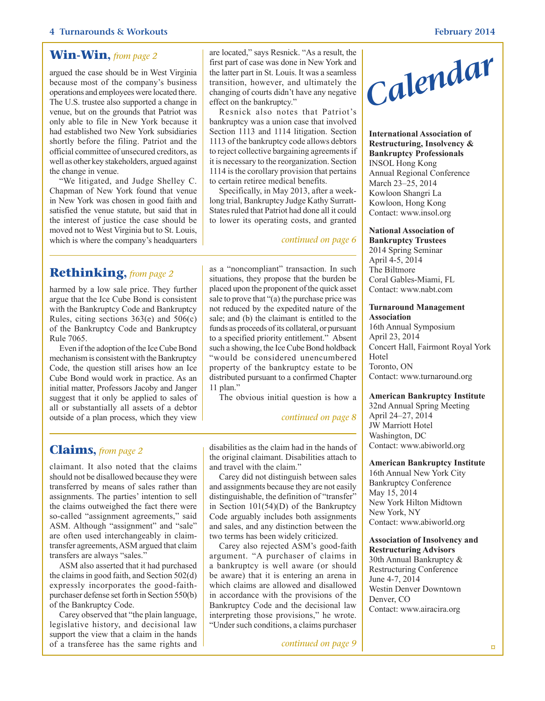#### **Win-Win,** *from page 2*

argued the case should be in West Virginia because most of the company's business operations and employees were located there. The U.S. trustee also supported a change in venue, but on the grounds that Patriot was only able to file in New York because it had established two New York subsidiaries shortly before the filing. Patriot and the official committee of unsecured creditors, as well as other key stakeholders, argued against the change in venue.

"We litigated, and Judge Shelley C. Chapman of New York found that venue in New York was chosen in good faith and satisfied the venue statute, but said that in the interest of justice the case should be moved not to West Virginia but to St. Louis, which is where the company's headquarters

#### <span id="page-3-1"></span>**Rethinking,** *from page 2*

harmed by a low sale price. They further argue that the Ice Cube Bond is consistent with the Bankruptcy Code and Bankruptcy Rules, citing sections 363(e) and 506(c) of the Bankruptcy Code and Bankruptcy Rule 7065.

Even if the adoption of the Ice Cube Bond mechanism is consistent with the Bankruptcy Code, the question still arises how an Ice Cube Bond would work in practice. As an initial matter, Professors Jacoby and Janger suggest that it only be applied to sales of all or substantially all assets of a debtor outside of a plan process, which they view are located," says Resnick. "As a result, the first part of case was done in New York and the latter part in St. Louis. It was a seamless transition, however, and ultimately the changing of courts didn't have any negative effect on the bankruptcy."

Resnick also notes that Patriot's bankruptcy was a union case that involved Section 1113 and 1114 litigation. Section 1113 of the bankruptcy code allows debtors to reject collective bargaining agreements if it is necessary to the reorganization. Section 1114 is the corollary provision that pertains to certain retiree medical benefits.

Specifically, in May 2013, after a weeklong trial, Bankruptcy Judge Kathy Surratt-States ruled that Patriot had done all it could to lower its operating costs, and granted

#### *continued on page 6*

as a "noncompliant" transaction. In such situations, they propose that the burden be placed upon the proponent of the quick asset sale to prove that "(a) the purchase price was not reduced by the expedited nature of the sale; and (b) the claimant is entitled to the funds as proceeds of its collateral, or pursuant to a specified priority entitlement." Absent such a showing, the Ice Cube Bond holdback "would be considered unencumbered property of the bankruptcy estate to be distributed pursuant to a confirmed Chapter 11 plan."

The obvious initial question is how a

#### *[continued on page 8](#page-7-0)*

<span id="page-3-0"></span>**Claims,** *from page 2*

claimant. It also noted that the claims should not be disallowed because they were transferred by means of sales rather than assignments. The parties' intention to sell the claims outweighed the fact there were so-called "assignment agreements," said ASM. Although "assignment" and "sale" are often used interchangeably in claimtransfer agreements, ASM argued that claim transfers are always "sales."

ASM also asserted that it had purchased the claims in good faith, and Section 502(d) expressly incorporates the good-faithpurchaser defense set forth in Section 550(b) of the Bankruptcy Code.

Carey observed that "the plain language, legislative history, and decisional law support the view that a claim in the hands of a transferee has the same rights and disabilities as the claim had in the hands of the original claimant. Disabilities attach to and travel with the claim."

Carey did not distinguish between sales and assignments because they are not easily distinguishable, the definition of "transfer" in Section 101(54)(D) of the Bankruptcy Code arguably includes both assignments and sales, and any distinction between the two terms has been widely criticized.

Carey also rejected ASM's good-faith argument. "A purchaser of claims in a bankruptcy is well aware (or should be aware) that it is entering an arena in which claims are allowed and disallowed in accordance with the provisions of the Bankruptcy Code and the decisional law interpreting those provisions," he wrote. "Under such conditions, a claims purchaser

*[continued on page 9](#page-8-0)*



**International Association of Restructuring, Insolvency & Bankruptcy Professionals** INSOL Hong Kong Annual Regional Conference March 23–25, 2014 Kowloon Shangri La Kowloon, Hong Kong Contact: www.insol.org

#### **National Association of**

**Bankruptcy Trustees** 2014 Spring Seminar April 4-5, 2014 The Biltmore Coral Gables-Miami, FL Contact: www.nabt.com

#### **Turnaround Management**

**Association**  16th Annual Symposium April 23, 2014 Concert Hall, Fairmont Royal York Hotel Toronto, ON Contact: www.turnaround.org

#### **American Bankruptcy Institute**

32nd Annual Spring Meeting April 24–27, 2014 JW Marriott Hotel Washington, DC Contact: www.abiworld.org

#### **American Bankruptcy Institute**

16th Annual New York City Bankruptcy Conference May 15, 2014 New York Hilton Midtown New York, NY Contact: www.abiworld.org

#### **Association of Insolvency and Restructuring Advisors**

30th Annual Bankruptcy & Restructuring Conference June 4-7, 2014 Westin Denver Downtown Denver, CO Contact: www.airacira.org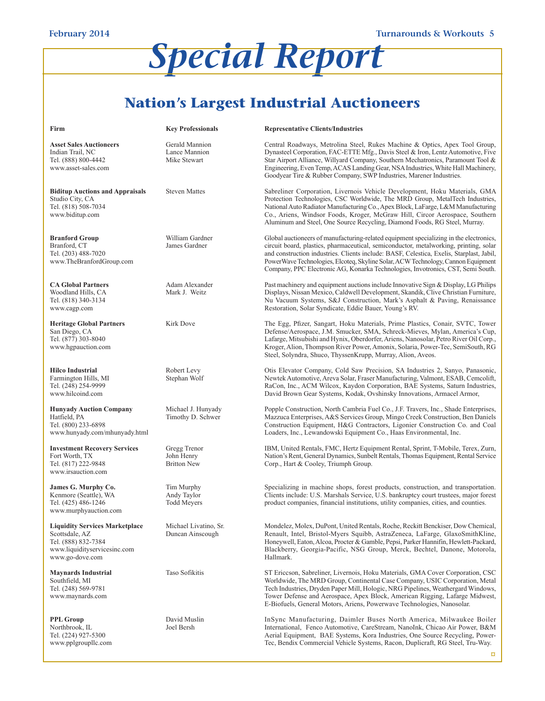# *Special Report*

### **Nation's Largest Industrial Auctioneers**

| Firm                                                                                                                              | <b>Key Professionals</b>                         | <b>Representative Clients/Industries</b>                                                                                                                                                                                                                                                                                                                                                                                                           |
|-----------------------------------------------------------------------------------------------------------------------------------|--------------------------------------------------|----------------------------------------------------------------------------------------------------------------------------------------------------------------------------------------------------------------------------------------------------------------------------------------------------------------------------------------------------------------------------------------------------------------------------------------------------|
| <b>Asset Sales Auctioneers</b><br>Indian Trail, NC<br>Tel. (888) 800-4442<br>www.asset-sales.com                                  | Gerald Mannion<br>Lance Mannion<br>Mike Stewart  | Central Roadways, Metrolina Steel, Rukes Machine & Optics, Apex Tool Group,<br>Dynasteel Corporation, FAC-ETTE Mfg., Davis Steel & Iron, Lentz Automotive, Five<br>Star Airport Alliance, Willyard Company, Southern Mechatronics, Paramount Tool &<br>Engineering, Even Temp, ACAS Landing Gear, NSA Industries, White Hall Machinery,<br>Goodyear Tire & Rubber Company, SWP Industries, Marener Industries.                                     |
| <b>Biditup Auctions and Appraisals</b><br>Studio City, CA<br>Tel. (818) 508-7034<br>www.biditup.com                               | <b>Steven Mattes</b>                             | Sabreliner Corporation, Livernois Vehicle Development, Hoku Materials, GMA<br>Protection Technologies, CSC Worldwide, The MRD Group, MetalTech Industries,<br>National Auto Radiator Manufacturing Co., Apex Block, LaFarge, L&M Manufacturing<br>Co., Ariens, Windsor Foods, Kroger, McGraw Hill, Circor Aerospace, Southern<br>Aluminum and Steel, One Source Recycling, Diamond Foods, RG Steel, Murray.                                        |
| <b>Branford Group</b><br>Branford, CT<br>Tel. (203) 488-7020<br>www.TheBranfordGroup.com                                          | William Gardner<br>James Gardner                 | Global auctioneers of manufacturing-related equipment specializing in the electronics,<br>circuit board, plastics, pharmaceutical, semiconductor, metalworking, printing, solar<br>and construction industries. Clients include: BASF, Celestica, Exelis, Starplast, Jabil,<br>PowerWave Technologies, Elcoteq, Skyline Solar, ACW Technology, Cannon Equipment<br>Company, PPC Electronic AG, Konarka Technologies, Invotronics, CST, Semi South. |
| <b>CA Global Partners</b><br>Woodland Hills, CA<br>Tel. (818) 340-3134<br>www.cagp.com                                            | Adam Alexander<br>Mark J. Weitz                  | Past machinery and equipment auctions include Innovative Sign & Display, LG Philips<br>Displays, Nissan Mexico, Caldwell Development, Skandik, Clive Christian Furniture,<br>Nu Vacuum Systems, S&J Construction, Mark's Asphalt & Paving, Renaissance<br>Restoration, Solar Syndicate, Eddie Bauer, Young's RV.                                                                                                                                   |
| <b>Heritage Global Partners</b><br>San Diego, CA<br>Tel. (877) 303-8040<br>www.hgpauction.com                                     | Kirk Dove                                        | The Egg, Pfizer, Sangart, Hoku Materials, Prime Plastics, Conair, SVTC, Tower<br>Defense/Aerospace, J.M. Smucker, SMA, Schreck-Mieves, Mylan, America's Cup,<br>Lafarge, Mitsubishi and Hynix, Oberdorfer, Ariens, Nanosolar, Petro River Oil Corp.,<br>Kroger, Alion, Thompson River Power, Amonix, Solaria, Power-Tec, SemiSouth, RG<br>Steel, Solyndra, Shuco, ThyssenKrupp, Murray, Alion, Aveos.                                              |
| <b>Hilco Industrial</b><br>Farmington Hills, MI<br>Tel. (248) 254-9999<br>www.hilcoind.com                                        | Robert Levy<br>Stephan Wolf                      | Otis Elevator Company, Cold Saw Precision, SA Industries 2, Sanyo, Panasonic,<br>Newtek Automotive, Areva Solar, Fraser Manufacturing, Valmont, ESAB, Cemcolift,<br>RaCon, Inc., ACM Wilcox, Kaydon Corporation, BAE Systems, Saturn Industries,<br>David Brown Gear Systems, Kodak, Ovshinsky Innovations, Armacel Armor,                                                                                                                         |
| <b>Hunyady Auction Company</b><br>Hatfield, PA<br>Tel. (800) 233-6898<br>www.hunyady.com/mhunyady.html                            | Michael J. Hunyady<br>Timothy D. Schwer          | Popple Construction, North Cambria Fuel Co., J.F. Travers, Inc., Shade Enterprises,<br>Mazzuca Enterprises, A&S Services Group, Mingo Creek Construction, Ben Daniels<br>Construction Equipment, H&G Contractors, Ligonier Construction Co. and Coal<br>Loaders, Inc., Lewandowski Equipment Co., Haas Environmental, Inc.                                                                                                                         |
| <b>Investment Recovery Services</b><br>Fort Worth, TX<br>Tel. (817) 222-9848<br>www.irsauction.com                                | Gregg Trenor<br>John Henry<br><b>Britton New</b> | IBM, United Rentals, FMC, Hertz Equipment Rental, Sprint, T-Mobile, Terex, Zurn,<br>Nation's Rent, General Dynamics, Sunbelt Rentals, Thomas Equipment, Rental Service<br>Corp., Hart & Cooley, Triumph Group.                                                                                                                                                                                                                                     |
| James G. Murphy Co.<br>Kenmore (Seattle), WA<br>Tel. (425) 486-1246<br>www.murphyauction.com                                      | Tim Murphy<br>Andy Taylor<br><b>Todd Meyers</b>  | Specializing in machine shops, forest products, construction, and transportation.<br>Clients include: U.S. Marshals Service, U.S. bankruptcy court trustees, major forest<br>product companies, financial institutions, utility companies, cities, and counties.                                                                                                                                                                                   |
| <b>Liquidity Services Marketplace</b><br>Scottsdale, AZ<br>Tel. (888) 832-7384<br>www.liquidityservicesinc.com<br>www.go-dove.com | Michael Livatino, Sr.<br>Duncan Ainscough        | Mondelez, Molex, DuPont, United Rentals, Roche, Reckitt Benckiser, Dow Chemical,<br>Renault, Intel, Bristol-Myers Squibb, AstraZeneca, LaFarge, GlaxoSmithKline.<br>Honeywell, Eaton, Alcoa, Procter & Gamble, Pepsi, Parker Hannifin, Hewlett-Packard,<br>Blackberry, Georgia-Pacific, NSG Group, Merck, Bechtel, Danone, Motorola,<br>Hallmark.                                                                                                  |
| <b>Maynards Industrial</b><br>Southfield, MI<br>Tel. (248) 569-9781<br>www.maynards.com                                           | Taso Sofikitis                                   | ST Ericeson, Sabreliner, Livernois, Hoku Materials, GMA Cover Corporation, CSC<br>Worldwide, The MRD Group, Continental Case Company, USIC Corporation, Metal<br>Tech Industries, Dryden Paper Mill, Hologic, NRG Pipelines, Weathergard Windows,<br>Tower Defense and Aerospace, Apex Block, American Rigging, Lafarge Midwest,<br>E-Biofuels, General Motors, Ariens, Powerwave Technologies, Nanosolar.                                         |
| <b>PPL Group</b><br>Northbrook, IL<br>Tel. (224) 927-5300<br>www.pplgroupllc.com                                                  | David Muslin<br>Joel Bersh                       | InSync Manufacturing, Daimler Buses North America, Milwaukee Boiler<br>International, Fenco Automotive, CareStream, NanoInk, Chicao Air Power, B&M<br>Aerial Equipment, BAE Systems, Kora Industries, One Source Recycling, Power-<br>Tec, Bendix Commercial Vehicle Systems, Racon, Duplicraft, RG Steel, Tru-Way.                                                                                                                                |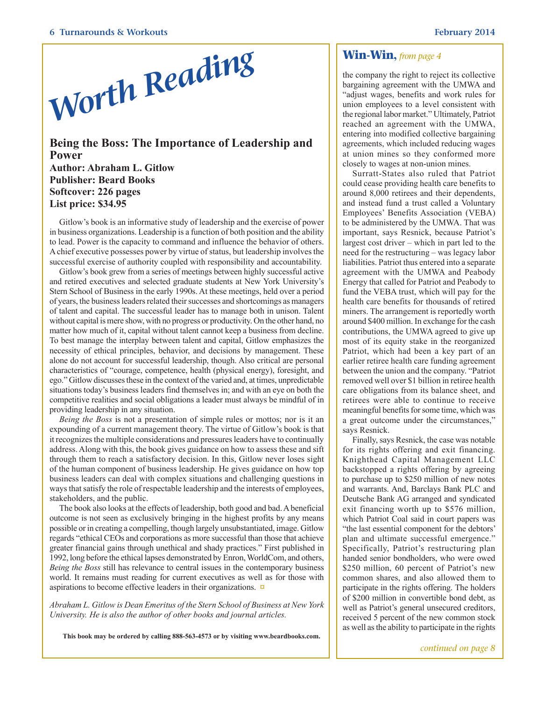

<span id="page-5-0"></span>**Being the Boss: The Importance of Leadership and Power Author: Abraham L. Gitlow Publisher: Beard Books Softcover: 226 pages List price: \$34.95**

Gitlow's book is an informative study of leadership and the exercise of power in business organizations. Leadership is a function of both position and the ability to lead. Power is the capacity to command and influence the behavior of others. A chief executive possesses power by virtue of status, but leadership involves the successful exercise of authority coupled with responsibility and accountability.

Gitlow's book grew from a series of meetings between highly successful active and retired executives and selected graduate students at New York University's Stern School of Business in the early 1990s. At these meetings, held over a period of years, the business leaders related their successes and shortcomings as managers of talent and capital. The successful leader has to manage both in unison. Talent without capital is mere show, with no progress or productivity. On the other hand, no matter how much of it, capital without talent cannot keep a business from decline. To best manage the interplay between talent and capital, Gitlow emphasizes the necessity of ethical principles, behavior, and decisions by management. These alone do not account for successful leadership, though. Also critical are personal characteristics of "courage, competence, health (physical energy), foresight, and ego." Gitlow discusses these in the context of the varied and, at times, unpredictable situations today's business leaders find themselves in; and with an eye on both the competitive realities and social obligations a leader must always be mindful of in providing leadership in any situation.

*Being the Boss* is not a presentation of simple rules or mottos; nor is it an expounding of a current management theory. The virtue of Gitlow's book is that it recognizes the multiple considerations and pressures leaders have to continually address. Along with this, the book gives guidance on how to assess these and sift through them to reach a satisfactory decision. In this, Gitlow never loses sight of the human component of business leadership. He gives guidance on how top business leaders can deal with complex situations and challenging questions in ways that satisfy the role of respectable leadership and the interests of employees, stakeholders, and the public.

The book also looks at the effects of leadership, both good and bad. A beneficial outcome is not seen as exclusively bringing in the highest profits by any means possible or in creating a compelling, though largely unsubstantiated, image. Gitlow regards "ethical CEOs and corporations as more successful than those that achieve greater financial gains through unethical and shady practices." First published in 1992, long before the ethical lapses demonstrated by Enron, WorldCom, and others, *Being the Boss* still has relevance to central issues in the contemporary business world. It remains must reading for current executives as well as for those with aspirations to become effective leaders in their organizations. **[¤](#page-0-0)**

*Abraham L. Gitlow is Dean Emeritus of the Stern School of Business at New York University. He is also the author of other books and journal articles.*

**This book may be ordered by calling 888-563-4573 or by visiting www.beardbooks.com.**

the company the right to reject its collective bargaining agreement with the UMWA and "adjust wages, benefits and work rules for union employees to a level consistent with the regional labor market." Ultimately, Patriot reached an agreement with the UMWA, entering into modified collective bargaining agreements, which included reducing wages at union mines so they conformed more closely to wages at non-union mines.

Surratt-States also ruled that Patriot could cease providing health care benefits to around 8,000 retirees and their dependents, and instead fund a trust called a Voluntary Employees' Benefits Association (VEBA) to be administered by the UMWA. That was important, says Resnick, because Patriot's largest cost driver – which in part led to the need for the restructuring – was legacy labor liabilities. Patriot thus entered into a separate agreement with the UMWA and Peabody Energy that called for Patriot and Peabody to fund the VEBA trust, which will pay for the health care benefits for thousands of retired miners. The arrangement is reportedly worth around \$400 million. In exchange for the cash contributions, the UMWA agreed to give up most of its equity stake in the reorganized Patriot, which had been a key part of an earlier retiree health care funding agreement between the union and the company. "Patriot removed well over \$1 billion in retiree health care obligations from its balance sheet, and retirees were able to continue to receive meaningful benefits for some time, which was a great outcome under the circumstances," says Resnick.

Finally, says Resnick, the case was notable for its rights offering and exit financing. Knighthead Capital Management LLC backstopped a rights offering by agreeing to purchase up to \$250 million of new notes and warrants. And, Barclays Bank PLC and Deutsche Bank AG arranged and syndicated exit financing worth up to \$576 million, which Patriot Coal said in court papers was "the last essential component for the debtors' plan and ultimate successful emergence." Specifically, Patriot's restructuring plan handed senior bondholders, who were owed \$250 million, 60 percent of Patriot's new common shares, and also allowed them to participate in the rights offering. The holders of \$200 million in convertible bond debt, as well as Patriot's general unsecured creditors, received 5 percent of the new common stock as well as the ability to participate in the rights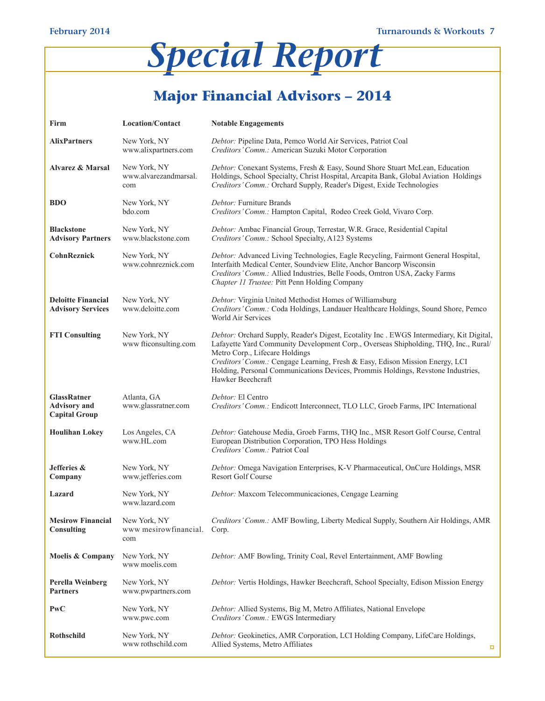# *Special Report*

## <span id="page-6-0"></span>**Major Financial Advisors – 2014**

| Firm                                                              | <b>Location/Contact</b>                      | <b>Notable Engagements</b>                                                                                                                                                                                                                                                                                                                                                                                |
|-------------------------------------------------------------------|----------------------------------------------|-----------------------------------------------------------------------------------------------------------------------------------------------------------------------------------------------------------------------------------------------------------------------------------------------------------------------------------------------------------------------------------------------------------|
| <b>AlixPartners</b>                                               | New York, NY<br>www.alixpartners.com         | Debtor: Pipeline Data, Pemco World Air Services, Patriot Coal<br>Creditors' Comm.: American Suzuki Motor Corporation                                                                                                                                                                                                                                                                                      |
| <b>Alvarez &amp; Marsal</b>                                       | New York, NY<br>www.alvarezandmarsal.<br>com | Debtor: Conexant Systems, Fresh & Easy, Sound Shore Stuart McLean, Education<br>Holdings, School Specialty, Christ Hospital, Arcapita Bank, Global Aviation Holdings<br>Creditors' Comm.: Orchard Supply, Reader's Digest, Exide Technologies                                                                                                                                                             |
| <b>BDO</b>                                                        | New York, NY<br>bdo.com                      | Debtor: Furniture Brands<br>Creditors' Comm.: Hampton Capital, Rodeo Creek Gold, Vivaro Corp.                                                                                                                                                                                                                                                                                                             |
| <b>Blackstone</b><br><b>Advisory Partners</b>                     | New York, NY<br>www.blackstone.com           | Debtor: Ambac Financial Group, Terrestar, W.R. Grace, Residential Capital<br>Creditors' Comm.: School Specialty, A123 Systems                                                                                                                                                                                                                                                                             |
| <b>CohnReznick</b>                                                | New York, NY<br>www.cohnreznick.com          | Debtor: Advanced Living Technologies, Eagle Recycling, Fairmont General Hospital,<br>Interfaith Medical Center, Soundview Elite, Anchor Bancorp Wisconsin<br>Creditors' Comm.: Allied Industries, Belle Foods, Omtron USA, Zacky Farms<br>Chapter 11 Trustee: Pitt Penn Holding Company                                                                                                                   |
| <b>Deloitte Financial</b><br><b>Advisory Services</b>             | New York, NY<br>www.deloitte.com             | Debtor: Virginia United Methodist Homes of Williamsburg<br>Creditors' Comm.: Coda Holdings, Landauer Healthcare Holdings, Sound Shore, Pemco<br>World Air Services                                                                                                                                                                                                                                        |
| <b>FTI Consulting</b>                                             | New York, NY<br>www fticonsulting.com        | Debtor: Orchard Supply, Reader's Digest, Ecotality Inc. EWGS Intermediary, Kit Digital,<br>Lafayette Yard Community Development Corp., Overseas Shipholding, THQ, Inc., Rural/<br>Metro Corp., Lifecare Holdings<br>Creditors' Comm.: Cengage Learning, Fresh & Easy, Edison Mission Energy, LCI<br>Holding, Personal Communications Devices, Prommis Holdings, Revstone Industries,<br>Hawker Beechcraft |
| <b>GlassRatner</b><br><b>Advisory</b> and<br><b>Capital Group</b> | Atlanta, GA<br>www.glassratner.com           | Debtor: El Centro<br>Creditors' Comm.: Endicott Interconnect, TLO LLC, Groeb Farms, IPC International                                                                                                                                                                                                                                                                                                     |
| <b>Houlihan Lokey</b>                                             | Los Angeles, CA<br>www.HL.com                | Debtor: Gatehouse Media, Groeb Farms, THQ Inc., MSR Resort Golf Course, Central<br>European Distribution Corporation, TPO Hess Holdings<br>Creditors' Comm.: Patriot Coal                                                                                                                                                                                                                                 |
| Jefferies &<br>Company                                            | New York, NY<br>www.jefferies.com            | Debtor: Omega Navigation Enterprises, K-V Pharmaceutical, OnCure Holdings, MSR<br><b>Resort Golf Course</b>                                                                                                                                                                                                                                                                                               |
| Lazard                                                            | New York, NY<br>www.lazard.com               | Debtor: Maxcom Telecommunicaciones, Cengage Learning                                                                                                                                                                                                                                                                                                                                                      |
| <b>Mesirow Financial</b><br><b>Consulting</b>                     | New York, NY<br>www mesirowfinancial.<br>com | Creditors' Comm.: AMF Bowling, Liberty Medical Supply, Southern Air Holdings, AMR<br>Corp.                                                                                                                                                                                                                                                                                                                |
| <b>Moelis &amp; Company</b>                                       | New York, NY<br>www moelis.com               | Debtor: AMF Bowling, Trinity Coal, Revel Entertainment, AMF Bowling                                                                                                                                                                                                                                                                                                                                       |
| Perella Weinberg<br><b>Partners</b>                               | New York, NY<br>www.pwpartners.com           | <i>Debtor:</i> Vertis Holdings, Hawker Beechcraft, School Specialty, Edison Mission Energy                                                                                                                                                                                                                                                                                                                |
| <b>PwC</b>                                                        | New York, NY<br>www.pwc.com                  | Debtor: Allied Systems, Big M, Metro Affiliates, National Envelope<br>Creditors' Comm.: EWGS Intermediary                                                                                                                                                                                                                                                                                                 |
| Rothschild                                                        | New York, NY<br>www.rothschild.com           | Debtor: Geokinetics, AMR Corporation, LCI Holding Company, LifeCare Holdings,<br>Allied Systems, Metro Affiliates<br>¤                                                                                                                                                                                                                                                                                    |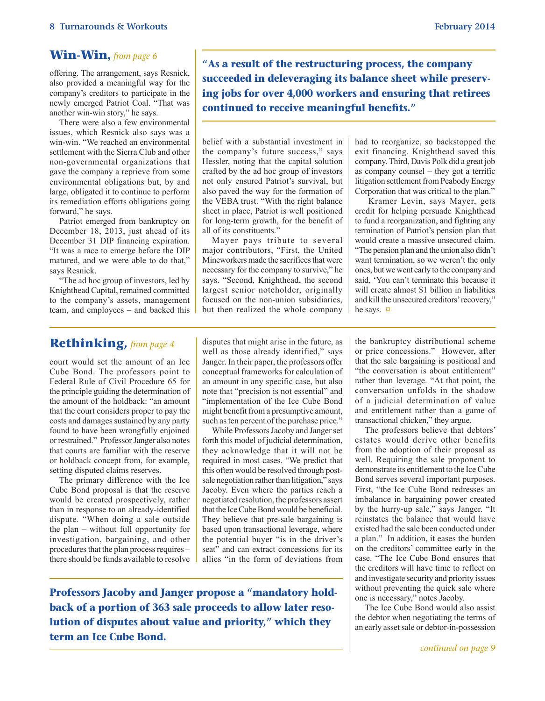#### **Win-Win,** *from page 6*

offering. The arrangement, says Resnick, also provided a meaningful way for the company's creditors to participate in the newly emerged Patriot Coal. "That was another win-win story," he says.

There were also a few environmental issues, which Resnick also says was a win-win. "We reached an environmental settlement with the Sierra Club and other non-governmental organizations that gave the company a reprieve from some environmental obligations but, by and large, obligated it to continue to perform its remediation efforts obligations going forward," he says.

Patriot emerged from bankruptcy on December 18, 2013, just ahead of its December 31 DIP financing expiration. "It was a race to emerge before the DIP matured, and we were able to do that," says Resnick.

"The ad hoc group of investors, led by Knighthead Capital, remained committed to the company's assets, management team, and employees – and backed this

**"As a result of the restructuring process, the company succeeded in deleveraging its balance sheet while preserving jobs for over 4,000 workers and ensuring that retirees continued to receive meaningful benefits."**

belief with a substantial investment in the company's future success," says Hessler, noting that the capital solution crafted by the ad hoc group of investors not only ensured Patriot's survival, but also paved the way for the formation of the VEBA trust. "With the right balance sheet in place, Patriot is well positioned for long-term growth, for the benefit of all of its constituents."

Mayer pays tribute to several major contributors, "First, the United Mineworkers made the sacrifices that were necessary for the company to survive," he says. "Second, Knighthead, the second largest senior noteholder, originally focused on the non-union subsidiaries, but then realized the whole company had to reorganize, so backstopped the exit financing. Knighthead saved this company. Third, Davis Polk did a great job as company counsel – they got a terrific litigation settlement from Peabody Energy Corporation that was critical to the plan."

Kramer Levin, says Mayer, gets credit for helping persuade Knighthead to fund a reorganization, and fighting any termination of Patriot's pension plan that would create a massive unsecured claim. "The pension plan and the union also didn't want termination, so we weren't the only ones, but we went early to the company and said, 'You can't terminate this because it will create almost \$1 billion in liabilities and kill the unsecured creditors' recovery," he says. **[¤](#page-0-0)**

#### <span id="page-7-0"></span>**Rethinking,** *from page 4*

court would set the amount of an Ice Cube Bond. The professors point to Federal Rule of Civil Procedure 65 for the principle guiding the determination of the amount of the holdback: "an amount that the court considers proper to pay the costs and damages sustained by any party found to have been wrongfully enjoined or restrained." Professor Janger also notes that courts are familiar with the reserve or holdback concept from, for example, setting disputed claims reserves.

The primary difference with the Ice Cube Bond proposal is that the reserve would be created prospectively, rather than in response to an already-identified dispute. "When doing a sale outside the plan – without full opportunity for investigation, bargaining, and other procedures that the plan process requires – there should be funds available to resolve

disputes that might arise in the future, as well as those already identified," says Janger. In their paper, the professors offer conceptual frameworks for calculation of an amount in any specific case, but also note that "precision is not essential" and "implementation of the Ice Cube Bond might benefit from a presumptive amount, such as ten percent of the purchase price."

While Professors Jacoby and Janger set forth this model of judicial determination, they acknowledge that it will not be required in most cases. "We predict that this often would be resolved through postsale negotiation rather than litigation," says Jacoby. Even where the parties reach a negotiated resolution, the professors assert that the Ice Cube Bond would be beneficial. They believe that pre-sale bargaining is based upon transactional leverage, where the potential buyer "is in the driver's seat" and can extract concessions for its allies "in the form of deviations from

**Professors Jacoby and Janger propose a "mandatory holdback of a portion of 363 sale proceeds to allow later resolution of disputes about value and priority," which they term an Ice Cube Bond.** 

the bankruptcy distributional scheme or price concessions." However, after that the sale bargaining is positional and "the conversation is about entitlement" rather than leverage. "At that point, the conversation unfolds in the shadow of a judicial determination of value and entitlement rather than a game of transactional chicken," they argue.

The professors believe that debtors' estates would derive other benefits from the adoption of their proposal as well. Requiring the sale proponent to demonstrate its entitlement to the Ice Cube Bond serves several important purposes. First, "the Ice Cube Bond redresses an imbalance in bargaining power created by the hurry-up sale," says Janger. "It reinstates the balance that would have existed had the sale been conducted under a plan." In addition, it eases the burden on the creditors' committee early in the case. "The Ice Cube Bond ensures that the creditors will have time to reflect on and investigate security and priority issues without preventing the quick sale where one is necessary," notes Jacoby.

The Ice Cube Bond would also assist the debtor when negotiating the terms of an early asset sale or debtor-in-possession